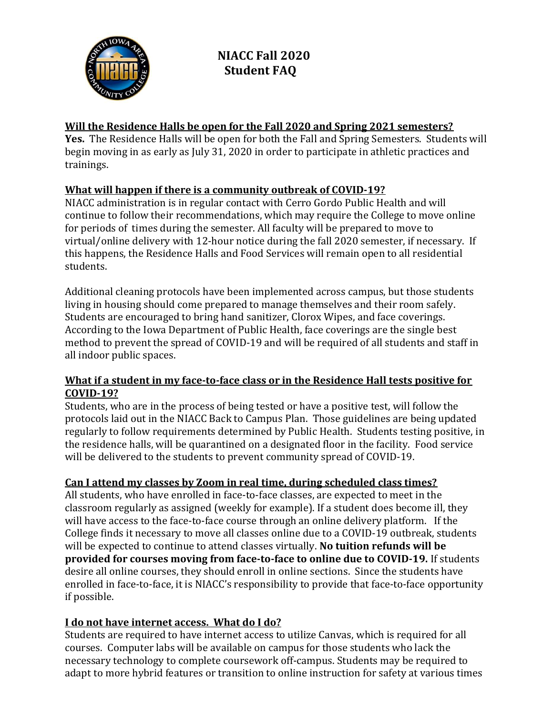

### Will the Residence Halls be open for the Fall 2020 and Spring 2021 semesters?

Yes. The Residence Halls will be open for both the Fall and Spring Semesters. Students will begin moving in as early as July 31, 2020 in order to participate in athletic practices and trainings.

# What will happen if there is a community outbreak of COVID-19?

NIACC administration is in regular contact with Cerro Gordo Public Health and will continue to follow their recommendations, which may require the College to move online for periods of times during the semester. All faculty will be prepared to move to virtual/online delivery with 12-hour notice during the fall 2020 semester, if necessary. If this happens, the Residence Halls and Food Services will remain open to all residential students.

Additional cleaning protocols have been implemented across campus, but those students living in housing should come prepared to manage themselves and their room safely. Students are encouraged to bring hand sanitizer, Clorox Wipes, and face coverings. According to the Iowa Department of Public Health, face coverings are the single best method to prevent the spread of COVID-19 and will be required of all students and staff in all indoor public spaces.

### What if a student in my face-to-face class or in the Residence Hall tests positive for COVID-19?

Students, who are in the process of being tested or have a positive test, will follow the protocols laid out in the NIACC Back to Campus Plan. Those guidelines are being updated regularly to follow requirements determined by Public Health. Students testing positive, in the residence halls, will be quarantined on a designated floor in the facility. Food service will be delivered to the students to prevent community spread of COVID-19.

# Can I attend my classes by Zoom in real time, during scheduled class times?

All students, who have enrolled in face-to-face classes, are expected to meet in the classroom regularly as assigned (weekly for example). If a student does become ill, they will have access to the face-to-face course through an online delivery platform. If the College finds it necessary to move all classes online due to a COVID-19 outbreak, students will be expected to continue to attend classes virtually. No tuition refunds will be provided for courses moving from face-to-face to online due to COVID-19. If students desire all online courses, they should enroll in online sections. Since the students have enrolled in face-to-face, it is NIACC's responsibility to provide that face-to-face opportunity if possible.

# I do not have internet access. What do I do?

Students are required to have internet access to utilize Canvas, which is required for all courses. Computer labs will be available on campus for those students who lack the necessary technology to complete coursework off-campus. Students may be required to adapt to more hybrid features or transition to online instruction for safety at various times